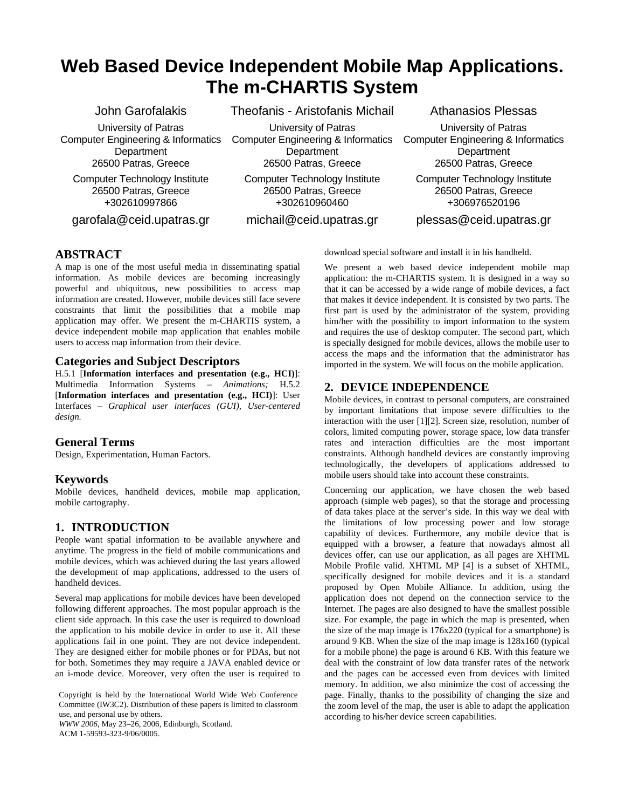# **Web Based Device Independent Mobile Map Applications. The m-CHARTIS System**

#### John Garofalakis

University of Patras Computer Engineering & Informatics **Department** 26500 Patras, Greece

Computer Technology Institute 26500 Patras, Greece +302610997866

garofala@ceid.upatras.gr

Theofanis - Aristofanis Michail

University of Patras Computer Engineering & Informatics **Department** 26500 Patras, Greece

Computer Technology Institute 26500 Patras, Greece +302610960460

michail@ceid.upatras.gr

Athanasios Plessas

University of Patras Computer Engineering & Informatics **Department** 26500 Patras, Greece

Computer Technology Institute 26500 Patras, Greece +306976520196

plessas@ceid.upatras.gr

#### **ABSTRACT**

A map is one of the most useful media in disseminating spatial information. As mobile devices are becoming increasingly powerful and ubiquitous, new possibilities to access map information are created. However, mobile devices still face severe constraints that limit the possibilities that a mobile map application may offer. We present the m-CHARTIS system, a device independent mobile map application that enables mobile users to access map information from their device.

#### **Categories and Subject Descriptors**

H.5.1 [**Information interfaces and presentation (e.g., HCI)**]: Multimedia Information Systems – *Animations;* H.5.2 [**Information interfaces and presentation (e.g., HCI)**]: User Interfaces – *Graphical user interfaces (GUI), User-centered design.* 

### **General Terms**

Design, Experimentation, Human Factors.

### **Keywords**

Mobile devices, handheld devices, mobile map application, mobile cartography.

#### **1. INTRODUCTION**

People want spatial information to be available anywhere and anytime. The progress in the field of mobile communications and mobile devices, which was achieved during the last years allowed the development of map applications, addressed to the users of handheld devices.

Several map applications for mobile devices have been developed following different approaches. The most popular approach is the client side approach. In this case the user is required to download the application to his mobile device in order to use it. All these applications fail in one point. They are not device independent. They are designed either for mobile phones or for PDAs, but not for both. Sometimes they may require a JAVA enabled device or an i-mode device. Moreover, very often the user is required to

Copyright is held by the International World Wide Web Conference Committee (IW3C2). Distribution of these papers is limited to classroom use, and personal use by others.

*WWW 2006,* May 23–26, 2006, Edinburgh, Scotland. ACM 1-59593-323-9/06/0005.

download special software and install it in his handheld.

We present a web based device independent mobile map application: the m-CHARTIS system. It is designed in a way so that it can be accessed by a wide range of mobile devices, a fact that makes it device independent. It is consisted by two parts. The first part is used by the administrator of the system, providing him/her with the possibility to import information to the system and requires the use of desktop computer. The second part, which is specially designed for mobile devices, allows the mobile user to access the maps and the information that the administrator has imported in the system. We will focus on the mobile application.

## **2. DEVICE INDEPENDENCE**

Mobile devices, in contrast to personal computers, are constrained by important limitations that impose severe difficulties to the interaction with the user [1][2]. Screen size, resolution, number of colors, limited computing power, storage space, low data transfer rates and interaction difficulties are the most important constraints. Although handheld devices are constantly improving technologically, the developers of applications addressed to mobile users should take into account these constraints.

Concerning our application, we have chosen the web based approach (simple web pages), so that the storage and processing of data takes place at the server's side. In this way we deal with the limitations of low processing power and low storage capability of devices. Furthermore, any mobile device that is equipped with a browser, a feature that nowadays almost all devices offer, can use our application, as all pages are XHTML Mobile Profile valid. XHTML MP [4] is a subset of XHTML, specifically designed for mobile devices and it is a standard proposed by Open Mobile Alliance. In addition, using the application does not depend on the connection service to the Internet. The pages are also designed to have the smallest possible size. For example, the page in which the map is presented, when the size of the map image is 176x220 (typical for a smartphone) is around 9 KB. When the size of the map image is 128x160 (typical for a mobile phone) the page is around 6 KB. With this feature we deal with the constraint of low data transfer rates of the network and the pages can be accessed even from devices with limited memory. In addition, we also minimize the cost of accessing the page. Finally, thanks to the possibility of changing the size and the zoom level of the map, the user is able to adapt the application according to his/her device screen capabilities.